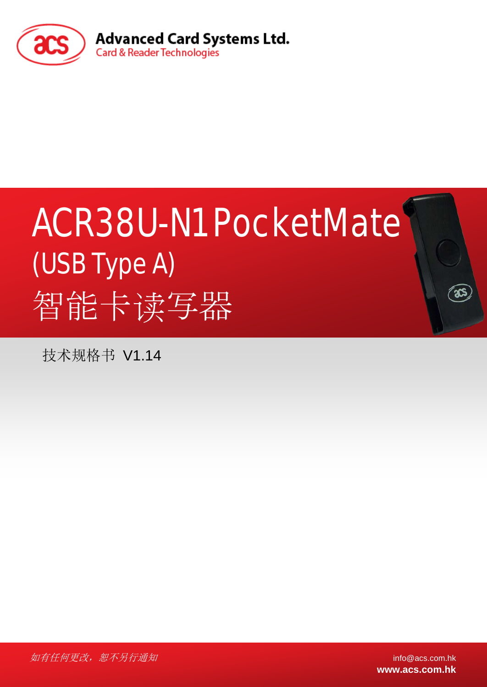

# ACR38U-N1 PocketMate (USB Type A) 智能卡读写器

技术规格书 V1.14

如有任何更改,恕不另行通知 info@acs.com.hk

**www.acs.com.hk**

్యా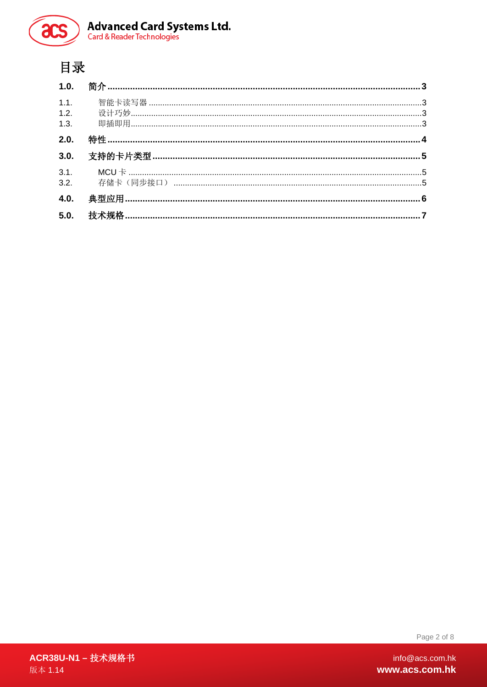

**Advanced Card Systems Ltd.**<br>Card & Reader Technologies

# 目录

| 2.0. |  |
|------|--|
|      |  |
|      |  |
| 4.0. |  |
|      |  |
|      |  |

Page 2 of 8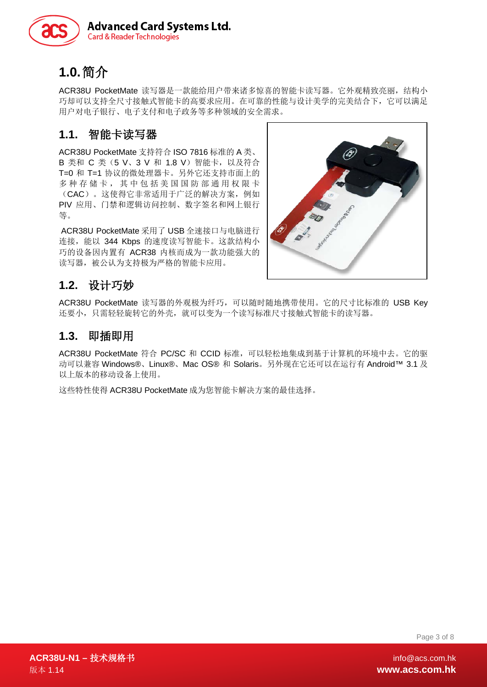

# <span id="page-2-0"></span>**1.0.**简介

ACR38U PocketMate 读写器是一款能给用户带来诸多惊喜的智能卡读写器。它外观精致亮丽,结构小 巧却可以支持全尺寸接触式智能卡的高要求应用。在可靠的性能与设计美学的完美结合下,它可以满足 用户对电子银行、电子支付和电子政务等多种领域的安全需求。

## <span id="page-2-1"></span>**1.1.** 智能卡读写器

ACR38U PocketMate 支持符合 ISO 7816 标准的 A 类、 B 类和 C 类(5 V、3 V 和 1.8 V) 智能卡, 以及符合 T=0 和 T=1 协议的微处理器卡。另外它还支持市面上的 多种存储卡,其中包括美国国防部通用权限卡 (CAC)。这使得它非常适用于广泛的解决方案,例如 PIV 应用、门禁和逻辑访问控制、数字签名和网上银行 等。

ACR38U PocketMate 采用了 USB 全速接口与电脑进行 连接, 能以 344 Kbps 的速度读写智能卡。这款结构小 巧的设备因内置有 ACR38 内核而成为一款功能强大的 读写器,被公认为支持极为严格的智能卡应用。



## <span id="page-2-2"></span>**1.2.** 设计巧妙

ACR38U PocketMate 读写器的外观极为纤巧,可以随时随地携带使用。它的尺寸比标准的 USB Key 还要小,只需轻轻旋转它的外壳,就可以变为一个读写标准尺寸接触式智能卡的读写器。

#### <span id="page-2-3"></span>**1.3.** 即插即用

ACR38U PocketMate 符合 PC/SC 和 CCID 标准,可以轻松地集成到基于计算机的环境中去。它的驱 动可以兼容 Windows®、Linux®、Mac OS® 和 Solaris。另外现在它还可以在运行有 Android™ 3.1 及 以上版本的移动设备上使用。

这些特性使得 ACR38U PocketMate 成为您智能卡解决方案的最佳选择。

Page 3 of 8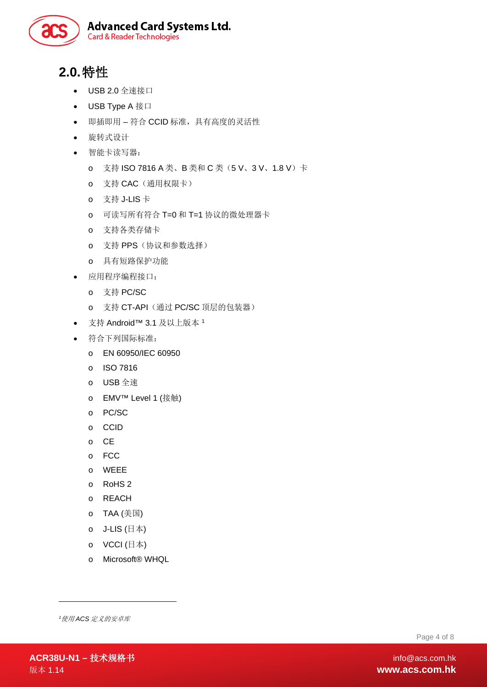

# <span id="page-3-0"></span>**2.0.**特性

- USB 2.0 全速接口
- USB Type A 接口
- 即插即用 符合 CCID 标准,具有高度的灵活性
- 旋转式设计
- 智能卡读写器:
	- o 支持 ISO 7816 A 类、B 类和 C 类(5 V、3 V、1.8 V)卡
	- o 支持 CAC(通用权限卡)
	- o 支持 J-LIS 卡
	- o 可读写所有符合 T=0 和 T=1 协议的微处理器卡
	- o 支持各类存储卡
	- o 支持 PPS(协议和参数选择)
	- o 具有短路保护功能
- 应用程序编程接口:
	- o 支持 PC/SC
	- o 支持 CT-API(通过 PC/SC 顶层的包装器)
- 支持 Android™ 3.1 及以上版本 [1](#page-3-1)
- 符合下列国际标准:
	- o EN 60950/IEC 60950
	- o ISO 7816
	- o USB 全速
	- o EMV™ Level 1 (接触)
	- o PC/SC
	- o CCID
	- o CE
	- o FCC
	- o WEEE
	- o RoHS 2
	- o REACH
	- o TAA (美国)
	- o J-LIS (日本)
	- o VCCI (日本)
	- o Microsoft® WHQL

<span id="page-3-1"></span>*1* 使用 *ACS* 定义的安卓库

Page 4 of 8

-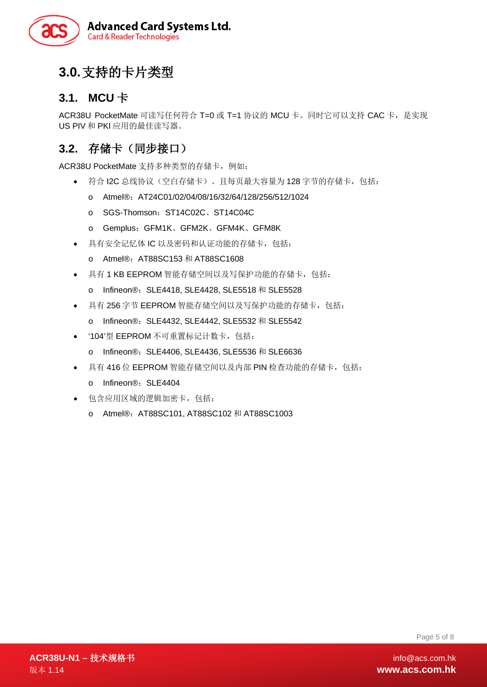

# <span id="page-4-0"></span>**3.0.**支持的卡片类型

## <span id="page-4-1"></span>**3.1. MCU** 卡

ACR38U PocketMate 可读写任何符合 T=0 或 T=1 协议的 MCU 卡。同时它可以支持 CAC 卡, 是实现 US PIV 和 PKI 应用的最佳读写器。

## <span id="page-4-2"></span>**3.2.** 存储卡(同步接口)

ACR38U PocketMate 支持多种类型的存储卡, 例如:

- 符合 I2C 总线协议(空白存储卡)、且每页最大容量为 128 字节的存储卡,包括:
	- o Atmel®:AT24C01/02/04/08/16/32/64/128/256/512/1024
	- o SGS-Thomson: ST14C02C、ST14C04C
	- o Gemplus:GFM1K、GFM2K、GFM4K、GFM8K
- 具有安全记忆体 IC 以及密码和认证功能的存储卡,包括:
	- o Atmel®:AT88SC153 和 AT88SC1608
- 具有 1 KB EEPROM 智能存储空间以及写保护功能的存储卡, 包括:
	- o Infineon®: SLE4418, SLE4428, SLE5518 和 SLE5528
- 具有 256 字节 EEPROM 智能存储空间以及写保护功能的存储卡,包括:
	- o Infineon®: SLE4432, SLE4442, SLE5532 和 SLE5542
- '104'型 EEPROM 不可重置标记计数卡,包括:
	- o Infineon®: SLE4406, SLE4436, SLE5536 和 SLE6636
- 具有 416 位 EEPROM 智能存储空间以及内部 PIN 检查功能的存储卡,包括:
	- o Infineon®: SLE4404
- 包含应用区域的逻辑加密卡,包括:
	- o Atmel®:AT88SC101, AT88SC102 和 AT88SC1003

Page 5 of 8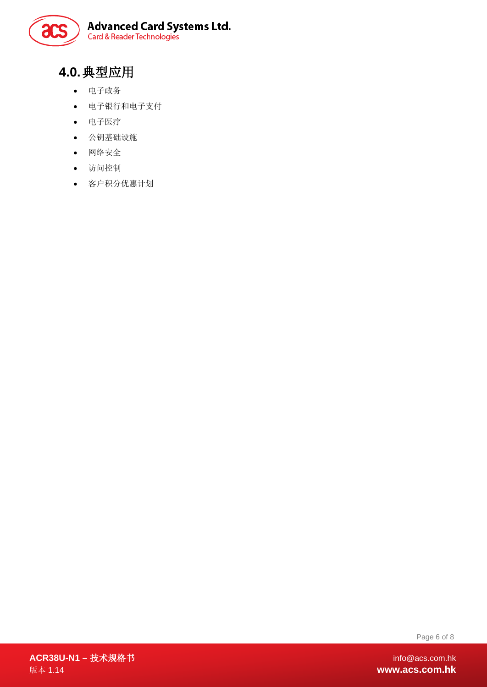

# <span id="page-5-0"></span>**4.0.**典型应用

- 电子政务
- 电子银行和电子支付
- 电子医疗
- 公钥基础设施
- 网络安全
- 访问控制
- 客户积分优惠计划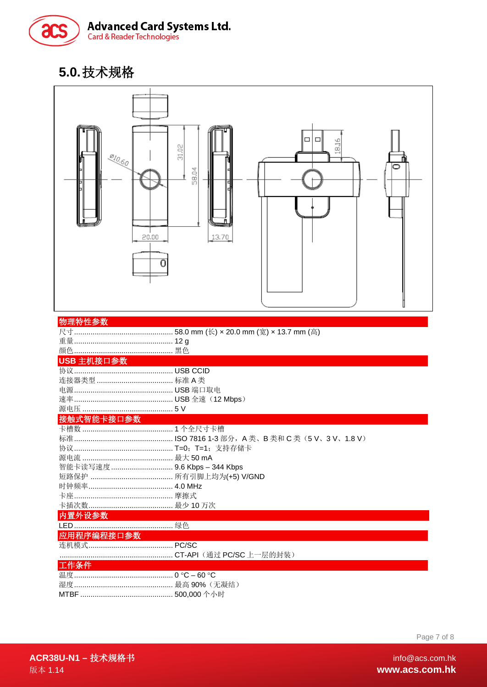

# <span id="page-6-0"></span>5.0.技术规格



| 物理特性参数 |  |  |  |  |  |
|--------|--|--|--|--|--|
|        |  |  |  |  |  |
|        |  |  |  |  |  |
|        |  |  |  |  |  |

#### USB 主机接口参数

#### 接触式智能卡接口参数

| 源电流 ……………………………………… 最大 50 mA |  |
|------------------------------|--|
| 智能卡读写速度  9.6 Kbps - 344 Kbps |  |
|                              |  |
|                              |  |
|                              |  |
|                              |  |

#### 内置外设参数

| 应用程序编程接口参数                     |  |  |  |  |
|--------------------------------|--|--|--|--|
|                                |  |  |  |  |
|                                |  |  |  |  |
| 工作条件                           |  |  |  |  |
| 温度……………………………………… 0 °C − 60 °C |  |  |  |  |
|                                |  |  |  |  |

Page 7 of 8